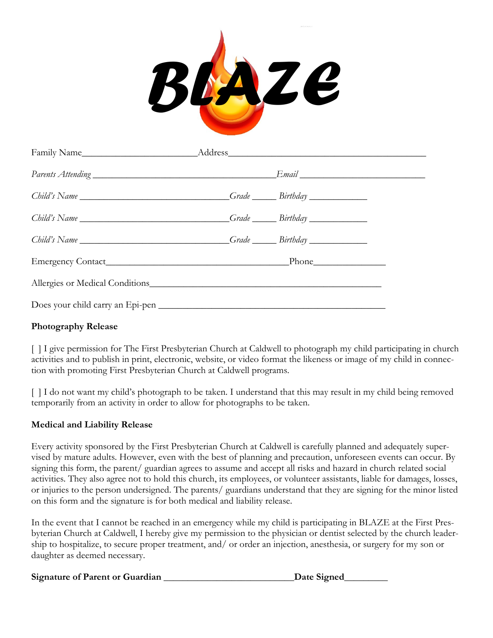

| Child's Name ________________________________Grade ________Birthday ____________                                                                                                                                               |  |  |
|--------------------------------------------------------------------------------------------------------------------------------------------------------------------------------------------------------------------------------|--|--|
| Child's Name ________________________________Grade ________Birthday ____________                                                                                                                                               |  |  |
| Child's Name ________________________________Grade ________Birthday ____________                                                                                                                                               |  |  |
|                                                                                                                                                                                                                                |  |  |
| Allergies or Medical Conditions expansion of the state of the state of the state of the state of the state of the state of the state of the state of the state of the state of the state of the state of the state of the stat |  |  |
|                                                                                                                                                                                                                                |  |  |

## **Photography Release**

[ ] I give permission for The First Presbyterian Church at Caldwell to photograph my child participating in church activities and to publish in print, electronic, website, or video format the likeness or image of my child in connection with promoting First Presbyterian Church at Caldwell programs.

[ ] I do not want my child's photograph to be taken. I understand that this may result in my child being removed temporarily from an activity in order to allow for photographs to be taken.

## **Medical and Liability Release**

Every activity sponsored by the First Presbyterian Church at Caldwell is carefully planned and adequately supervised by mature adults. However, even with the best of planning and precaution, unforeseen events can occur. By signing this form, the parent/ guardian agrees to assume and accept all risks and hazard in church related social activities. They also agree not to hold this church, its employees, or volunteer assistants, liable for damages, losses, or injuries to the person undersigned. The parents/ guardians understand that they are signing for the minor listed on this form and the signature is for both medical and liability release.

In the event that I cannot be reached in an emergency while my child is participating in BLAZE at the First Presbyterian Church at Caldwell, I hereby give my permission to the physician or dentist selected by the church leadership to hospitalize, to secure proper treatment, and/ or order an injection, anesthesia, or surgery for my son or daughter as deemed necessary.

**Signature of Parent or Guardian \_\_\_\_\_\_\_\_\_\_\_\_\_\_\_\_\_\_\_\_\_\_\_\_\_\_\_Date Signed\_\_\_\_\_\_\_\_\_**

| Date Signed |  |
|-------------|--|
|-------------|--|